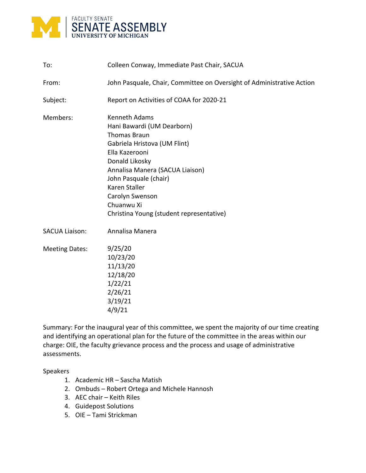

| To:                   | Colleen Conway, Immediate Past Chair, SACUA                                                                                                                                                                                                                                                             |
|-----------------------|---------------------------------------------------------------------------------------------------------------------------------------------------------------------------------------------------------------------------------------------------------------------------------------------------------|
| From:                 | John Pasquale, Chair, Committee on Oversight of Administrative Action                                                                                                                                                                                                                                   |
| Subject:              | Report on Activities of COAA for 2020-21                                                                                                                                                                                                                                                                |
| Members:              | <b>Kenneth Adams</b><br>Hani Bawardi (UM Dearborn)<br><b>Thomas Braun</b><br>Gabriela Hristova (UM Flint)<br>Ella Kazerooni<br>Donald Likosky<br>Annalisa Manera (SACUA Liaison)<br>John Pasquale (chair)<br>Karen Staller<br>Carolyn Swenson<br>Chuanwu Xi<br>Christina Young (student representative) |
| <b>SACUA Liaison:</b> | Annalisa Manera                                                                                                                                                                                                                                                                                         |
| <b>Meeting Dates:</b> | 9/25/20<br>10/23/20<br>11/13/20<br>12/18/20<br>1/22/21<br>2/26/21<br>3/19/21<br>4/9/21                                                                                                                                                                                                                  |

Summary: For the inaugural year of this committee, we spent the majority of our time creating and identifying an operational plan for the future of the committee in the areas within our charge: OIE, the faculty grievance process and the process and usage of administrative assessments.

Speakers

- 1. Academic HR Sascha Matish
- 2. Ombuds Robert Ortega and Michele Hannosh
- 3. AEC chair Keith Riles
- 4. Guidepost Solutions
- 5. OIE Tami Strickman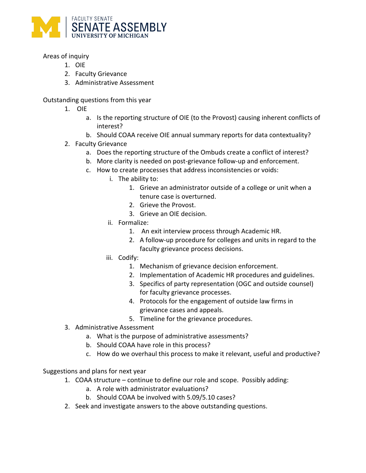

## Areas of inquiry

- 1. OIE
- 2. Faculty Grievance
- 3. Administrative Assessment

Outstanding questions from this year

- 1. OIE
	- a. Is the reporting structure of OIE (to the Provost) causing inherent conflicts of interest?
	- b. Should COAA receive OIE annual summary reports for data contextuality?
- 2. Faculty Grievance
	- a. Does the reporting structure of the Ombuds create a conflict of interest?
	- b. More clarity is needed on post-grievance follow-up and enforcement.
	- c. How to create processes that address inconsistencies or voids:
		- i. The ability to:
			- 1. Grieve an administrator outside of a college or unit when a tenure case is overturned.
			- 2. Grieve the Provost.
			- 3. Grieve an OIE decision.
		- ii. Formalize:
			- 1. An exit interview process through Academic HR.
			- 2. A follow-up procedure for colleges and units in regard to the faculty grievance process decisions.
		- iii. Codify:
			- 1. Mechanism of grievance decision enforcement.
			- 2. Implementation of Academic HR procedures and guidelines.
			- 3. Specifics of party representation (OGC and outside counsel) for faculty grievance processes.
			- 4. Protocols for the engagement of outside law firms in grievance cases and appeals.
			- 5. Timeline for the grievance procedures.
- 3. Administrative Assessment
	- a. What is the purpose of administrative assessments?
	- b. Should COAA have role in this process?
	- c. How do we overhaul this process to make it relevant, useful and productive?

Suggestions and plans for next year

- 1. COAA structure continue to define our role and scope. Possibly adding:
	- a. A role with administrator evaluations?
	- b. Should COAA be involved with 5.09/5.10 cases?
- 2. Seek and investigate answers to the above outstanding questions.